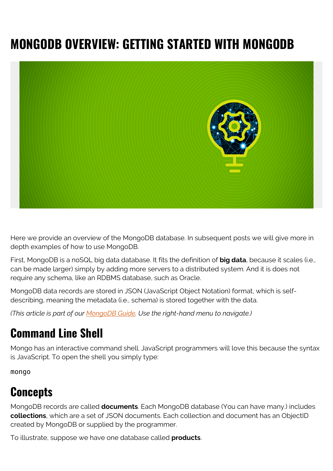# **MONGODB OVERVIEW: GETTING STARTED WITH MONGODB**



Here we provide an overview of the MongoDB database. In subsequent posts we will give more in depth examples of how to use MongoDB.

First, MongoDB is a noSQL big data database. It fits the definition of **big data**, because it scales (i.e., can be made larger) simply by adding more servers to a distributed system. And it is does not require any schema, like an RDBMS database, such as Oracle.

MongoDB data records are stored in JSON (JavaScript Object Notation) format, which is selfdescribing, meaning the metadata (i.e., schema) is stored together with the data.

*(This article is part of our [MongoDB Guide](https://blogs.bmc.com/blogs/mongodb-overview-getting-started-with-mongodb/). Use the right-hand menu to navigate.)*

### **Command Line Shell**

Mongo has an interactive command shell. JavaScript programmers will love this because the syntax is JavaScript. To open the shell you simply type:

mongo

## **Concepts**

MongoDB records are called **documents**. Each MongoDB database (You can have many.) includes **collections**, which are a set of JSON documents. Each collection and document has an ObjectID created by MongoDB or supplied by the programmer.

To illustrate, suppose we have one database called **products**.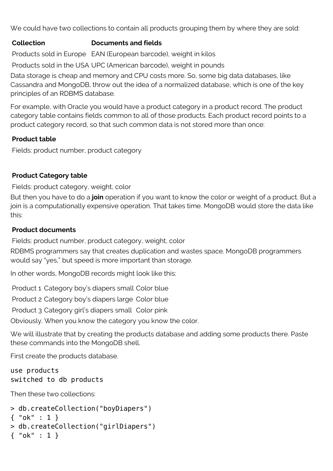We could have two collections to contain all products grouping them by where they are sold:

#### **Collection Documents and fields**

Products sold in Europe EAN (European barcode), weight in kilos

Products sold in the USA UPC (American barcode), weight in pounds

Data storage is cheap and memory and CPU costs more. So, some big data databases, like Cassandra and MongoDB, throw out the idea of a normalized database, which is one of the key principles of an RDBMS database.

For example, with Oracle you would have a product category in a product record. The product category table contains fields common to all of those products. Each product record points to a product category record, so that such common data is not stored more than once:

### **Product table**

Fields: product number, product category

### **Product Category table**

Fields: product category, weight, color

But then you have to do a **join** operation if you want to know the color or weight of a product. But a join is a computationally expensive operation. That takes time. MongoDB would store the data like this:

### **Product documents**

Fields: product number, product category, weight, color

RDBMS programmers say that creates duplication and wastes space. MongoDB programmers would say "yes," but speed is more important than storage.

In other words, MongoDB records might look like this:

Product 1 Category boy's diapers small Color blue

Product 2 Category boy's diapers large Color blue

Product 3 Category girl's diapers small Color pink

Obviously. When you know the category you know the color.

We will illustrate that by creating the products database and adding some products there. Paste these commands into the MongoDB shell.

First create the products database.

```
use products
switched to db products
```
Then these two collections:

```
> db.createCollection("boyDiapers")
```

```
{ "ok" : 1 }
```

```
> db.createCollection("girlDiapers")
```

```
{ "ok" : 1 }
```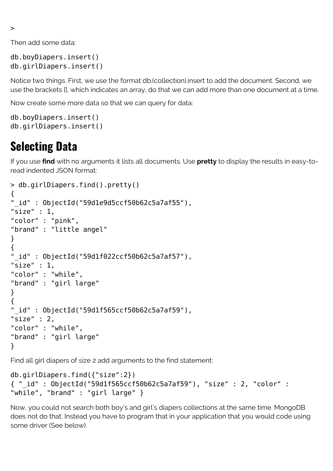>

Then add some data:

```
db.boyDiapers.insert()
db.girlDiapers.insert()
```
Notice two things. First, we use the format db.(collection).insert to add the document. Second, we use the brackets [], which indicates an array, do that we can add more than one document at a time.

Now create some more data so that we can query for data:

```
db.boyDiapers.insert()
db.girlDiapers.insert()
```
### **Selecting Data**

If you use **find** with no arguments it lists all documents. Use **pretty** to display the results in easy-toread indented JSON format:

```
> db.girlDiapers.find().pretty()
{
"_id" : ObjectId("59d1e9d5ccf50b62c5a7af55"),
"size" : 1."color" : "pink",
"brand" : "little angel"
}
{
"_id" : ObjectId("59d1f022ccf50b62c5a7af57"),
"size" : 1,
"color" : "while",
"brand" : "girl large"
}
{
"_id" : ObjectId("59d1f565ccf50b62c5a7af59"),
"size" : 2,
"color" : "while",
"brand" : "girl large"
}
```
Find all girl diapers of size 2 add arguments to the find statement:

```
db.girlDiapers.find({"size":2})
{ "_id" : ObjectId("59d1f565ccf50b62c5a7af59"), "size" : 2, "color" :
"while", "brand" : "girl large" }
```
Now, you could not search both boy's and girl's diapers collections at the same time. MongoDB does not do that. Instead you have to program that in your application that you would code using some driver (See below).